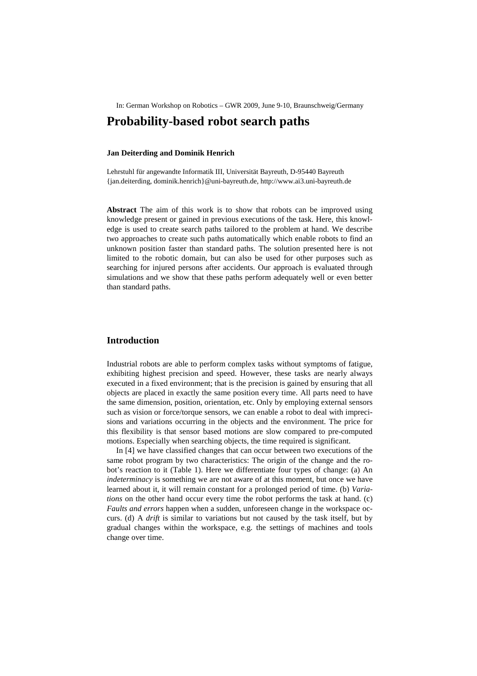In: German Workshop on Robotics – GWR 2009, June 9-10, Braunschweig/Germany

# **Probability-based robot search paths**

### **Jan Deiterding and Dominik Henrich**

Lehrstuhl für angewandte Informatik III, Universität Bayreuth, D-95440 Bayreuth {jan.deiterding, dominik.henrich}@uni-bayreuth.de, http://www.ai3.uni-bayreuth.de

**Abstract** The aim of this work is to show that robots can be improved using knowledge present or gained in previous executions of the task. Here, this knowledge is used to create search paths tailored to the problem at hand. We describe two approaches to create such paths automatically which enable robots to find an unknown position faster than standard paths. The solution presented here is not limited to the robotic domain, but can also be used for other purposes such as searching for injured persons after accidents. Our approach is evaluated through simulations and we show that these paths perform adequately well or even better than standard paths.

# **Introduction**

Industrial robots are able to perform complex tasks without symptoms of fatigue, exhibiting highest precision and speed. However, these tasks are nearly always executed in a fixed environment; that is the precision is gained by ensuring that all objects are placed in exactly the same position every time. All parts need to have the same dimension, position, orientation, etc. Only by employing external sensors such as vision or force/torque sensors, we can enable a robot to deal with imprecisions and variations occurring in the objects and the environment. The price for this flexibility is that sensor based motions are slow compared to pre-computed motions. Especially when searching objects, the time required is significant.

In [4] we have classified changes that can occur between two executions of the same robot program by two characteristics: The origin of the change and the robot's reaction to it (Table 1). Here we differentiate four types of change: (a) An *indeterminacy* is something we are not aware of at this moment, but once we have learned about it, it will remain constant for a prolonged period of time. (b) *Variations* on the other hand occur every time the robot performs the task at hand. (c) *Faults and errors* happen when a sudden, unforeseen change in the workspace occurs. (d) A *drift* is similar to variations but not caused by the task itself, but by gradual changes within the workspace, e.g. the settings of machines and tools change over time.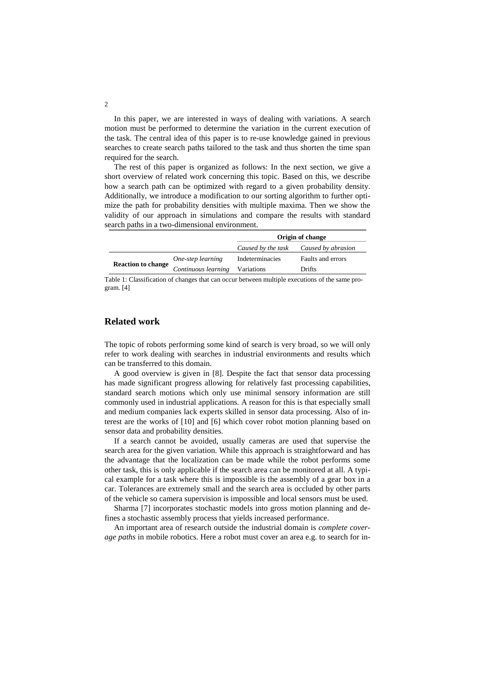In this paper, we are interested in ways of dealing with variations. A search motion must be performed to determine the variation in the current execution of the task. The central idea of this paper is to re-use knowledge gained in previous searches to create search paths tailored to the task and thus shorten the time span required for the search.

The rest of this paper is organized as follows: In the next section, we give a short overview of related work concerning this topic. Based on this, we describe how a search path can be optimized with regard to a given probability density. Additionally, we introduce a modification to our sorting algorithm to further optimize the path for probability densities with multiple maxima. Then we show the validity of our approach in simulations and compare the results with standard search paths in a two-dimensional environment.

|                           |                     | Origin of change |                                       |
|---------------------------|---------------------|------------------|---------------------------------------|
|                           |                     |                  | Caused by the task Caused by abrasion |
| <b>Reaction to change</b> | One-step learning   | Indeterminacies  | Faults and errors                     |
|                           | Continuous learning | Variations       | Drifts                                |

Table 1: Classification of changes that can occur between multiple executions of the same program. [4]

# **Related work**

The topic of robots performing some kind of search is very broad, so we will only refer to work dealing with searches in industrial environments and results which can be transferred to this domain.

A good overview is given in [8]. Despite the fact that sensor data processing has made significant progress allowing for relatively fast processing capabilities, standard search motions which only use minimal sensory information are still commonly used in industrial applications. A reason for this is that especially small and medium companies lack experts skilled in sensor data processing. Also of interest are the works of [10] and [6] which cover robot motion planning based on sensor data and probability densities.

If a search cannot be avoided, usually cameras are used that supervise the search area for the given variation. While this approach is straightforward and has the advantage that the localization can be made while the robot performs some other task, this is only applicable if the search area can be monitored at all. A typical example for a task where this is impossible is the assembly of a gear box in a car. Tolerances are extremely small and the search area is occluded by other parts of the vehicle so camera supervision is impossible and local sensors must be used.

Sharma [7] incorporates stochastic models into gross motion planning and defines a stochastic assembly process that yields increased performance.

An important area of research outside the industrial domain is *complete coverage paths* in mobile robotics. Here a robot must cover an area e.g. to search for in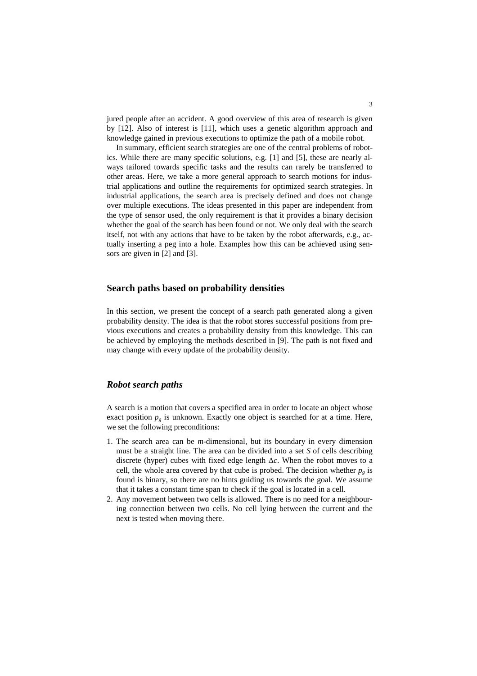jured people after an accident. A good overview of this area of research is given by [12]. Also of interest is [11], which uses a genetic algorithm approach and knowledge gained in previous executions to optimize the path of a mobile robot.

In summary, efficient search strategies are one of the central problems of robotics. While there are many specific solutions, e.g. [1] and [5], these are nearly always tailored towards specific tasks and the results can rarely be transferred to other areas. Here, we take a more general approach to search motions for industrial applications and outline the requirements for optimized search strategies. In industrial applications, the search area is precisely defined and does not change over multiple executions. The ideas presented in this paper are independent from the type of sensor used, the only requirement is that it provides a binary decision whether the goal of the search has been found or not. We only deal with the search itself, not with any actions that have to be taken by the robot afterwards, e.g., actually inserting a peg into a hole. Examples how this can be achieved using sensors are given in [2] and [3].

### **Search paths based on probability densities**

In this section, we present the concept of a search path generated along a given probability density. The idea is that the robot stores successful positions from previous executions and creates a probability density from this knowledge. This can be achieved by employing the methods described in [9]. The path is not fixed and may change with every update of the probability density.

# *Robot search paths*

A search is a motion that covers a specified area in order to locate an object whose exact position  $p_g$  is unknown. Exactly one object is searched for at a time. Here, we set the following preconditions:

- 1. The search area can be *m*-dimensional, but its boundary in every dimension must be a straight line. The area can be divided into a set *S* of cells describing discrete (hyper) cubes with fixed edge length ∆*c*. When the robot moves to a cell, the whole area covered by that cube is probed. The decision whether  $p<sub>g</sub>$  is found is binary, so there are no hints guiding us towards the goal. We assume that it takes a constant time span to check if the goal is located in a cell.
- 2. Any movement between two cells is allowed. There is no need for a neighbouring connection between two cells. No cell lying between the current and the next is tested when moving there.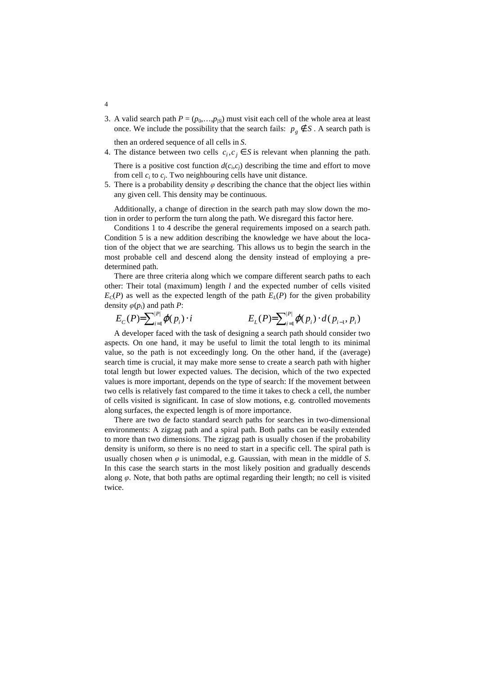3. A valid search path  $P = (p_0, \ldots, p_{|S|})$  must visit each cell of the whole area at least once. We include the possibility that the search fails:  $p_g \notin S$ . A search path is

then an ordered sequence of all cells in *S*.

4. The distance between two cells  $c_i, c_j \in S$  is relevant when planning the path. There is a positive cost function  $d(c_i, c_j)$  describing the time and effort to move

from cell  $c_i$  to  $c_j$ . Two neighbouring cells have unit distance.

5. There is a probability density  $\varphi$  describing the chance that the object lies within any given cell. This density may be continuous.

Additionally, a change of direction in the search path may slow down the motion in order to perform the turn along the path. We disregard this factor here.

Conditions 1 to 4 describe the general requirements imposed on a search path. Condition 5 is a new addition describing the knowledge we have about the location of the object that we are searching. This allows us to begin the search in the most probable cell and descend along the density instead of employing a predetermined path.

There are three criteria along which we compare different search paths to each other: Their total (maximum) length *l* and the expected number of cells visited  $E_c(P)$  as well as the expected length of the path  $E_l(P)$  for the given probability density  $\varphi(p_i)$  and path *P*:

$$
E_C(P) = \sum_{i=1}^{|P|} \varphi(p_i) \cdot i
$$
\n
$$
E_L(P) = \sum_{i=1}^{|P|} \varphi(p_i) \cdot d(p_{i-1}, p_i)
$$

A developer faced with the task of designing a search path should consider two aspects. On one hand, it may be useful to limit the total length to its minimal value, so the path is not exceedingly long. On the other hand, if the (average) search time is crucial, it may make more sense to create a search path with higher total length but lower expected values. The decision, which of the two expected values is more important, depends on the type of search: If the movement between two cells is relatively fast compared to the time it takes to check a cell, the number of cells visited is significant. In case of slow motions, e.g. controlled movements along surfaces, the expected length is of more importance.

There are two de facto standard search paths for searches in two-dimensional environments: A zigzag path and a spiral path. Both paths can be easily extended to more than two dimensions. The zigzag path is usually chosen if the probability density is uniform, so there is no need to start in a specific cell. The spiral path is usually chosen when  $\varphi$  is unimodal, e.g. Gaussian, with mean in the middle of *S*. In this case the search starts in the most likely position and gradually descends along *φ*. Note, that both paths are optimal regarding their length; no cell is visited twice.

4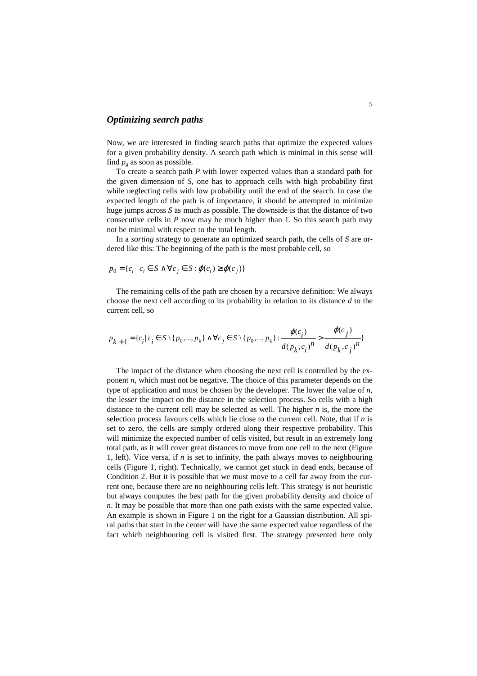# *Optimizing search paths*

Now, we are interested in finding search paths that optimize the expected values for a given probability density. A search path which is minimal in this sense will find  $p_g$  as soon as possible.

To create a search path *P* with lower expected values than a standard path for the given dimension of *S*, one has to approach cells with high probability first while neglecting cells with low probability until the end of the search. In case the expected length of the path is of importance, it should be attempted to minimize huge jumps across *S* as much as possible. The downside is that the distance of two consecutive cells in *P* now may be much higher than 1. So this search path may not be minimal with respect to the total length.

In a *sorting* strategy to generate an optimized search path, the cells of *S* are ordered like this: The beginning of the path is the most probable cell, so

$$
p_0 = \{c_i \mid c_i \in S \land \forall c_j \in S : \varphi(c_i) \ge \varphi(c_j)\}\
$$

The remaining cells of the path are chosen by a recursive definition: We always choose the next cell according to its probability in relation to its distance *d* to the current cell, so

$$
p_{k+1} = \{c_i | c_i \in S \setminus \{p_0, ..., p_k\} \land \forall c_j \in S \setminus \{p_0, ..., p_k\} : \frac{\varphi(c_i)}{d(p_k, c_i)^n} > \frac{\varphi(c_j)}{d(p_k, c_j)^n} \}
$$

The impact of the distance when choosing the next cell is controlled by the exponent *n*, which must not be negative. The choice of this parameter depends on the type of application and must be chosen by the developer. The lower the value of *n*, the lesser the impact on the distance in the selection process. So cells with a high distance to the current cell may be selected as well. The higher *n* is, the more the selection process favours cells which lie close to the current cell. Note, that if *n* is set to zero, the cells are simply ordered along their respective probability. This will minimize the expected number of cells visited, but result in an extremely long total path, as it will cover great distances to move from one cell to the next (Figure 1, left). Vice versa, if *n* is set to infinity, the path always moves to neighbouring cells (Figure 1, right). Technically, we cannot get stuck in dead ends, because of Condition 2. But it is possible that we must move to a cell far away from the current one, because there are no neighbouring cells left. This strategy is not heuristic but always computes the best path for the given probability density and choice of *n*. It may be possible that more than one path exists with the same expected value. An example is shown in Figure 1 on the right for a Gaussian distribution. All spiral paths that start in the center will have the same expected value regardless of the fact which neighbouring cell is visited first. The strategy presented here only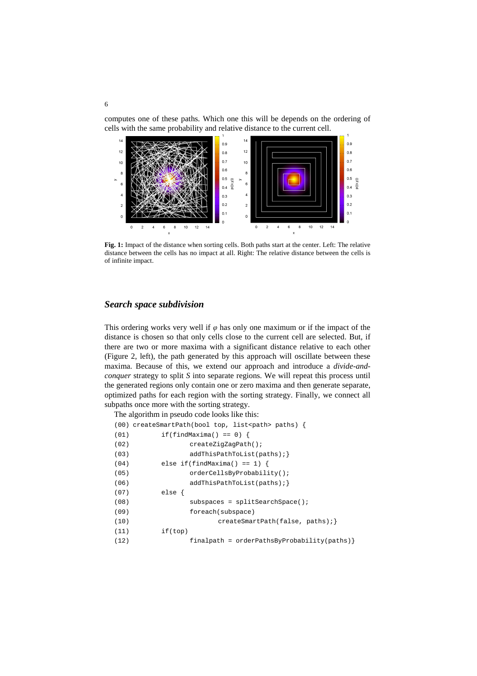computes one of these paths. Which one this will be depends on the ordering of cells with the same probability and relative distance to the current cell.



**Fig. 1:** Impact of the distance when sorting cells. Both paths start at the center. Left: The relative distance between the cells has no impact at all. Right: The relative distance between the cells is of infinite impact.

# *Search space subdivision*

This ordering works very well if  $\varphi$  has only one maximum or if the impact of the distance is chosen so that only cells close to the current cell are selected. But, if there are two or more maxima with a significant distance relative to each other (Figure 2, left), the path generated by this approach will oscillate between these maxima. Because of this, we extend our approach and introduce a *divide-andconquer* strategy to split *S* into separate regions. We will repeat this process until the generated regions only contain one or zero maxima and then generate separate, optimized paths for each region with the sorting strategy. Finally, we connect all subpaths once more with the sorting strategy.

The algorithm in pseudo code looks like this:

|      | $(00)$ createSmartPath(bool top, list <path> paths) {</path> |
|------|--------------------------------------------------------------|
| (01) | if(findMaxima() == $0$ ) {                                   |
| (02) | createZiqZaqPath()                                           |
| (03) | addThisPathTolist(paths);                                    |
| (04) | else if(findMaxima() == 1) {                                 |
| (05) | orderCellsByProbability();                                   |
| (06) | addThisPathTolist(paths);                                    |
| (07) | else                                                         |
| (08) | $subspaces = splitSearchSpace()$                             |
| (09) | foreach(subspace)                                            |
| (10) | createSmartPath(false, paths);                               |
| (11) | if(top)                                                      |
| (12) | $finalpath = orderPathsByProbability(paths)$                 |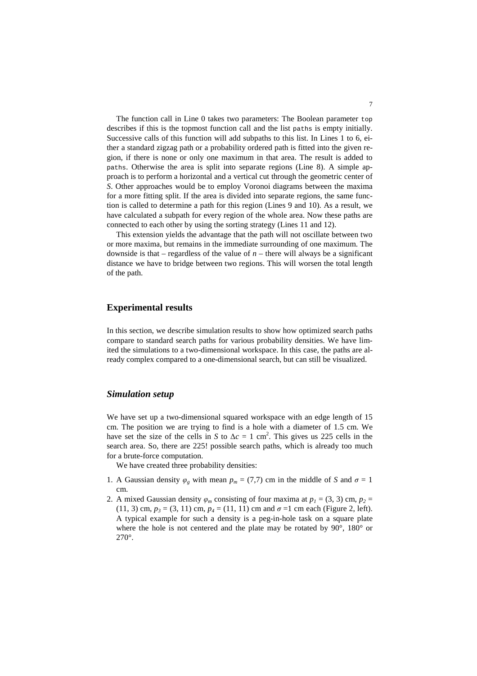The function call in Line 0 takes two parameters: The Boolean parameter top describes if this is the topmost function call and the list paths is empty initially. Successive calls of this function will add subpaths to this list. In Lines 1 to 6, either a standard zigzag path or a probability ordered path is fitted into the given region, if there is none or only one maximum in that area. The result is added to paths. Otherwise the area is split into separate regions (Line 8). A simple approach is to perform a horizontal and a vertical cut through the geometric center of *S*. Other approaches would be to employ Voronoi diagrams between the maxima for a more fitting split. If the area is divided into separate regions, the same function is called to determine a path for this region (Lines 9 and 10). As a result, we have calculated a subpath for every region of the whole area. Now these paths are connected to each other by using the sorting strategy (Lines 11 and 12).

This extension yields the advantage that the path will not oscillate between two or more maxima, but remains in the immediate surrounding of one maximum. The downside is that – regardless of the value of  $n$  – there will always be a significant distance we have to bridge between two regions. This will worsen the total length of the path.

# **Experimental results**

In this section, we describe simulation results to show how optimized search paths compare to standard search paths for various probability densities. We have limited the simulations to a two-dimensional workspace. In this case, the paths are already complex compared to a one-dimensional search, but can still be visualized.

# *Simulation setup*

We have set up a two-dimensional squared workspace with an edge length of 15 cm. The position we are trying to find is a hole with a diameter of 1.5 cm. We have set the size of the cells in *S* to  $\Delta c = 1$  cm<sup>2</sup>. This gives us 225 cells in the search area. So, there are 225! possible search paths, which is already too much for a brute-force computation.

We have created three probability densities:

- 1. A Gaussian density  $\varphi_g$  with mean  $p_m = (7,7)$  cm in the middle of *S* and  $\sigma = 1$ cm.
- 2. A mixed Gaussian density  $\varphi_m$  consisting of four maxima at  $p_1 = (3, 3)$  cm,  $p_2 =$ (11, 3) cm,  $p_3 = (3, 11)$  cm,  $p_4 = (11, 11)$  cm and  $\sigma = 1$  cm each (Figure 2, left). A typical example for such a density is a peg-in-hole task on a square plate where the hole is not centered and the plate may be rotated by 90°, 180° or 270°.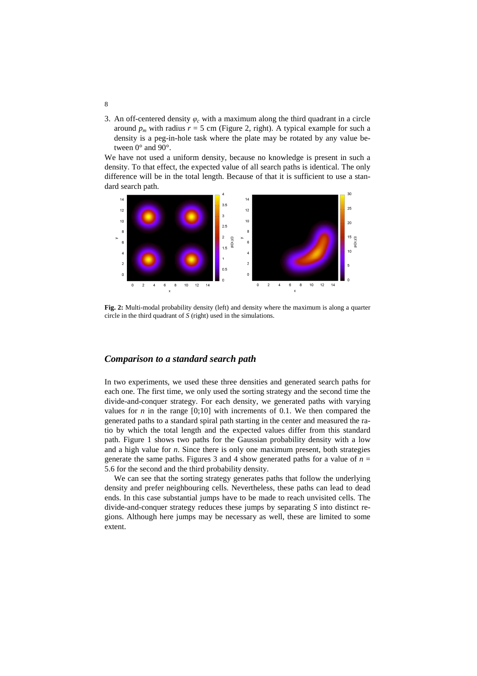3. An off-centered density  $\varphi_c$  with a maximum along the third quadrant in a circle around  $p_m$  with radius  $r = 5$  cm (Figure 2, right). A typical example for such a density is a peg-in-hole task where the plate may be rotated by any value between 0° and 90°.

We have not used a uniform density, because no knowledge is present in such a density. To that effect, the expected value of all search paths is identical. The only difference will be in the total length. Because of that it is sufficient to use a standard search path.



**Fig. 2:** Multi-modal probability density (left) and density where the maximum is along a quarter circle in the third quadrant of *S* (right) used in the simulations.

### *Comparison to a standard search path*

In two experiments, we used these three densities and generated search paths for each one. The first time, we only used the sorting strategy and the second time the divide-and-conquer strategy. For each density, we generated paths with varying values for *n* in the range  $[0,10]$  with increments of 0.1. We then compared the generated paths to a standard spiral path starting in the center and measured the ratio by which the total length and the expected values differ from this standard path. Figure 1 shows two paths for the Gaussian probability density with a low and a high value for *n*. Since there is only one maximum present, both strategies generate the same paths. Figures 3 and 4 show generated paths for a value of  $n =$ 5.6 for the second and the third probability density.

We can see that the sorting strategy generates paths that follow the underlying density and prefer neighbouring cells. Nevertheless, these paths can lead to dead ends. In this case substantial jumps have to be made to reach unvisited cells. The divide-and-conquer strategy reduces these jumps by separating *S* into distinct regions. Although here jumps may be necessary as well, these are limited to some extent.

8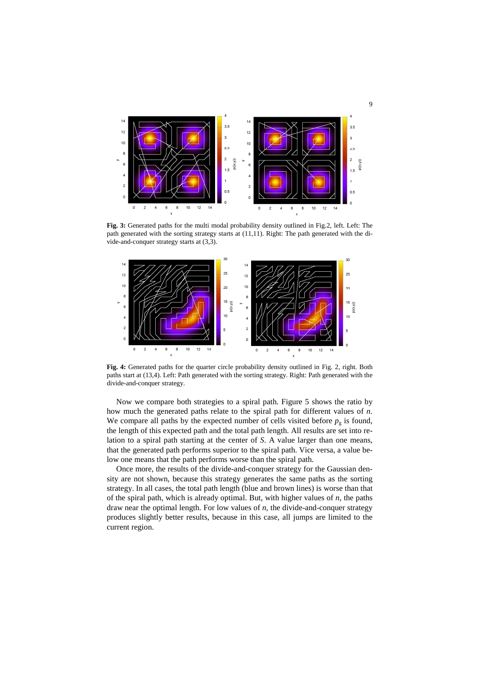

**Fig. 3:** Generated paths for the multi modal probability density outlined in Fig.2, left. Left: The path generated with the sorting strategy starts at (11,11). Right: The path generated with the divide-and-conquer strategy starts at (3,3).



**Fig. 4:** Generated paths for the quarter circle probability density outlined in Fig. 2, right. Both paths start at (13,4). Left: Path generated with the sorting strategy. Right: Path generated with the divide-and-conquer strategy.

Now we compare both strategies to a spiral path. Figure 5 shows the ratio by how much the generated paths relate to the spiral path for different values of *n*. We compare all paths by the expected number of cells visited before  $p<sub>g</sub>$  is found, the length of this expected path and the total path length. All results are set into relation to a spiral path starting at the center of *S*. A value larger than one means, that the generated path performs superior to the spiral path. Vice versa, a value below one means that the path performs worse than the spiral path.

Once more, the results of the divide-and-conquer strategy for the Gaussian density are not shown, because this strategy generates the same paths as the sorting strategy. In all cases, the total path length (blue and brown lines) is worse than that of the spiral path, which is already optimal. But, with higher values of *n*, the paths draw near the optimal length. For low values of *n*, the divide-and-conquer strategy produces slightly better results, because in this case, all jumps are limited to the current region.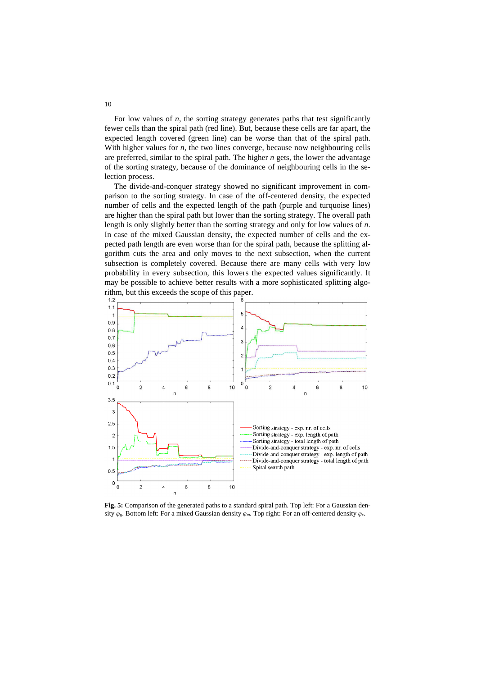For low values of  $n$ , the sorting strategy generates paths that test significantly fewer cells than the spiral path (red line). But, because these cells are far apart, the expected length covered (green line) can be worse than that of the spiral path. With higher values for *n*, the two lines converge, because now neighbouring cells are preferred, similar to the spiral path. The higher *n* gets, the lower the advantage of the sorting strategy, because of the dominance of neighbouring cells in the selection process.

The divide-and-conquer strategy showed no significant improvement in comparison to the sorting strategy. In case of the off-centered density, the expected number of cells and the expected length of the path (purple and turquoise lines) are higher than the spiral path but lower than the sorting strategy. The overall path length is only slightly better than the sorting strategy and only for low values of *n*. In case of the mixed Gaussian density, the expected number of cells and the expected path length are even worse than for the spiral path, because the splitting algorithm cuts the area and only moves to the next subsection, when the current subsection is completely covered. Because there are many cells with very low probability in every subsection, this lowers the expected values significantly. It may be possible to achieve better results with a more sophisticated splitting algorithm, but this exceeds the scope of this paper.



Fig. 5: Comparison of the generated paths to a standard spiral path. Top left: For a Gaussian density *φg*. Bottom left: For a mixed Gaussian density *φm*. Top right: For an off-centered density *φc*.

10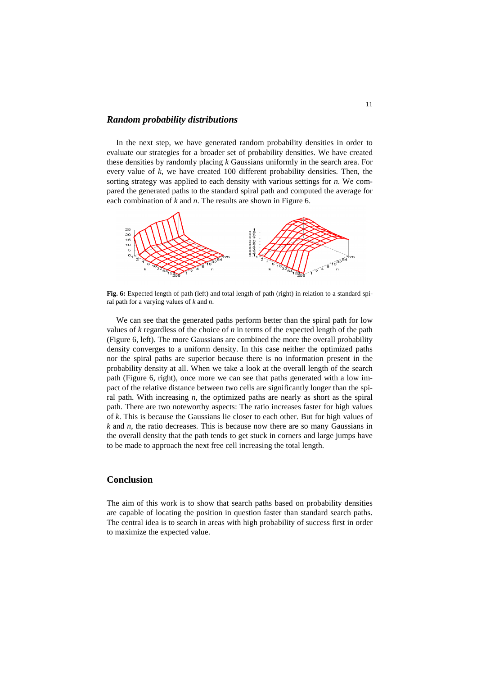#### *Random probability distributions*

In the next step, we have generated random probability densities in order to evaluate our strategies for a broader set of probability densities. We have created these densities by randomly placing *k* Gaussians uniformly in the search area. For every value of *k*, we have created 100 different probability densities. Then, the sorting strategy was applied to each density with various settings for *n*. We compared the generated paths to the standard spiral path and computed the average for each combination of *k* and *n*. The results are shown in Figure 6.



Fig. 6: Expected length of path (left) and total length of path (right) in relation to a standard spiral path for a varying values of *k* and *n*.

We can see that the generated paths perform better than the spiral path for low values of *k* regardless of the choice of *n* in terms of the expected length of the path (Figure 6, left). The more Gaussians are combined the more the overall probability density converges to a uniform density. In this case neither the optimized paths nor the spiral paths are superior because there is no information present in the probability density at all. When we take a look at the overall length of the search path (Figure 6, right), once more we can see that paths generated with a low impact of the relative distance between two cells are significantly longer than the spiral path. With increasing *n*, the optimized paths are nearly as short as the spiral path. There are two noteworthy aspects: The ratio increases faster for high values of *k*. This is because the Gaussians lie closer to each other. But for high values of *k* and *n*, the ratio decreases. This is because now there are so many Gaussians in the overall density that the path tends to get stuck in corners and large jumps have to be made to approach the next free cell increasing the total length.

### **Conclusion**

The aim of this work is to show that search paths based on probability densities are capable of locating the position in question faster than standard search paths. The central idea is to search in areas with high probability of success first in order to maximize the expected value.